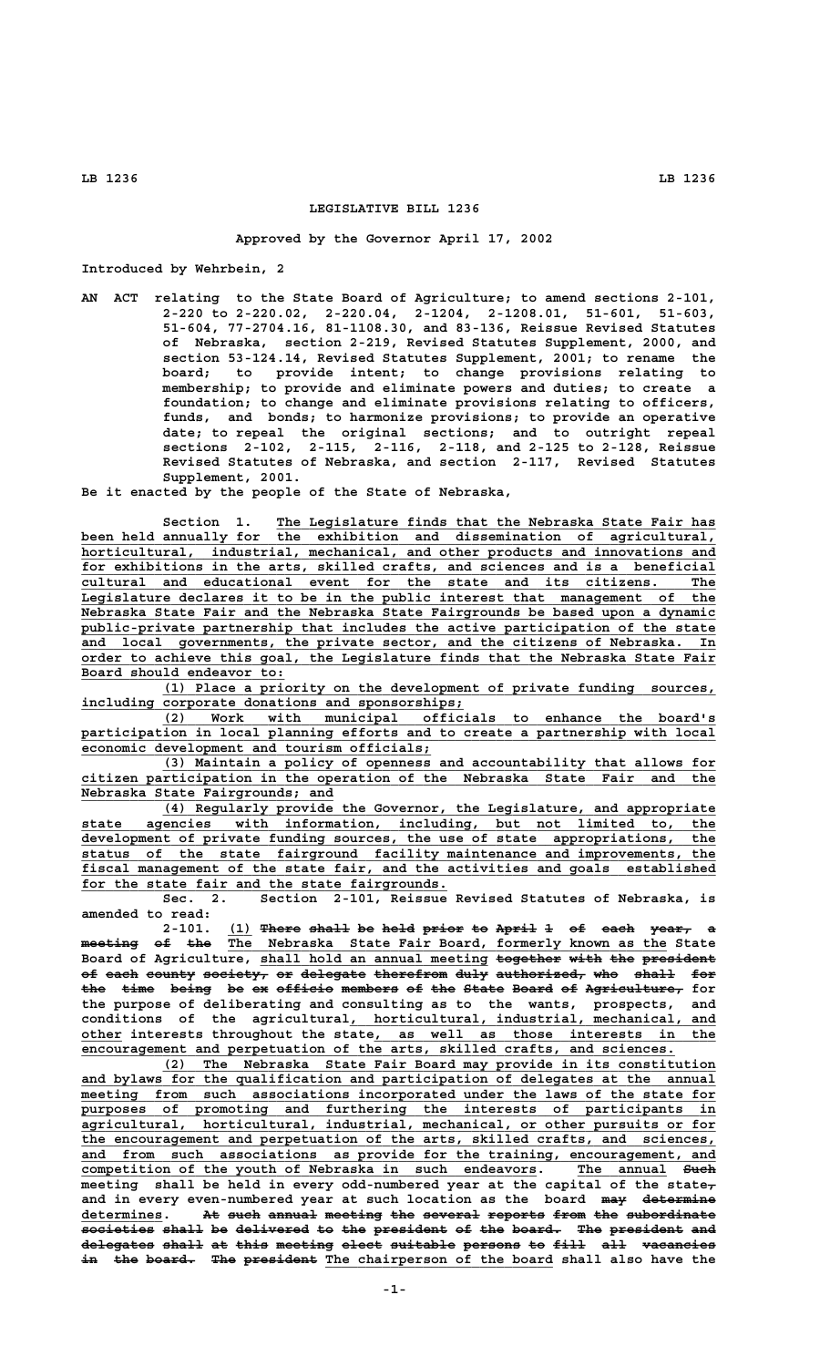## **LEGISLATIVE BILL 1236**

## **Approved by the Governor April 17, 2002**

**Introduced by Wehrbein, 2**

**AN ACT relating to the State Board of Agriculture; to amend sections 2-101, 2-220 to 2-220.02, 2-220.04, 2-1204, 2-1208.01, 51-601, 51-603, 51-604, 77-2704.16, 81-1108.30, and 83-136, Reissue Revised Statutes of Nebraska, section 2-219, Revised Statutes Supplement, 2000, and section 53-124.14, Revised Statutes Supplement, 2001; to rename the board; to provide intent; to change provisions relating to membership; to provide and eliminate powers and duties; to create a foundation; to change and eliminate provisions relating to officers, funds, and bonds; to harmonize provisions; to provide an operative date; to repeal the original sections; and to outright repeal sections 2-102, 2-115, 2-116, 2-118, and 2-125 to 2-128, Reissue Revised Statutes of Nebraska, and section 2-117, Revised Statutes Supplement, 2001.**

**Be it enacted by the people of the State of Nebraska,**

 **\_\_\_\_\_\_\_\_\_\_\_\_\_\_\_\_\_\_\_\_\_\_\_\_\_\_\_\_\_\_\_\_\_\_\_\_\_\_\_\_\_\_\_\_\_\_\_\_\_\_\_\_\_\_ Section 1. The Legislature finds that the Nebraska State Fair has \_\_\_\_\_\_\_\_\_\_\_\_\_\_\_\_\_\_\_\_\_\_\_\_\_\_\_\_\_\_\_\_\_\_\_\_\_\_\_\_\_\_\_\_\_\_\_\_\_\_\_\_\_\_\_\_\_\_\_\_\_\_\_\_\_\_\_\_\_\_\_\_\_\_\_\_\_\_ been held annually for the exhibition and dissemination of agricultural,** horticultural, industrial, mechanical, and other products and innovations and  **\_\_\_\_\_\_\_\_\_\_\_\_\_\_\_\_\_\_\_\_\_\_\_\_\_\_\_\_\_\_\_\_\_\_\_\_\_\_\_\_\_\_\_\_\_\_\_\_\_\_\_\_\_\_\_\_\_\_\_\_\_\_\_\_\_\_\_\_\_\_\_\_\_\_\_\_\_\_ for exhibitions in the arts, skilled crafts, and sciences and is a beneficial \_\_\_\_\_\_\_\_\_\_\_\_\_\_\_\_\_\_\_\_\_\_\_\_\_\_\_\_\_\_\_\_\_\_\_\_\_\_\_\_\_\_\_\_\_\_\_\_\_\_\_\_\_\_\_\_\_\_\_\_\_\_\_\_\_\_\_\_\_\_\_\_\_\_\_\_\_\_ cultural and educational event for the state and its citizens. The \_\_\_\_\_\_\_\_\_\_\_\_\_\_\_\_\_\_\_\_\_\_\_\_\_\_\_\_\_\_\_\_\_\_\_\_\_\_\_\_\_\_\_\_\_\_\_\_\_\_\_\_\_\_\_\_\_\_\_\_\_\_\_\_\_\_\_\_\_\_\_\_\_\_\_\_\_\_ Legislature declares it to be in the public interest that management of the \_\_\_\_\_\_\_\_\_\_\_\_\_\_\_\_\_\_\_\_\_\_\_\_\_\_\_\_\_\_\_\_\_\_\_\_\_\_\_\_\_\_\_\_\_\_\_\_\_\_\_\_\_\_\_\_\_\_\_\_\_\_\_\_\_\_\_\_\_\_\_\_\_\_\_\_\_\_ Nebraska State Fair and the Nebraska State Fairgrounds be based upon a dynamic \_\_\_\_\_\_\_\_\_\_\_\_\_\_\_\_\_\_\_\_\_\_\_\_\_\_\_\_\_\_\_\_\_\_\_\_\_\_\_\_\_\_\_\_\_\_\_\_\_\_\_\_\_\_\_\_\_\_\_\_\_\_\_\_\_\_\_\_\_\_\_\_\_\_\_\_\_\_ public-private partnership that includes the active participation of the state \_\_\_\_\_\_\_\_\_\_\_\_\_\_\_\_\_\_\_\_\_\_\_\_\_\_\_\_\_\_\_\_\_\_\_\_\_\_\_\_\_\_\_\_\_\_\_\_\_\_\_\_\_\_\_\_\_\_\_\_\_\_\_\_\_\_\_\_\_\_\_\_\_\_\_\_\_\_ and local governments, the private sector, and the citizens of Nebraska. In \_\_\_\_\_\_\_\_\_\_\_\_\_\_\_\_\_\_\_\_\_\_\_\_\_\_\_\_\_\_\_\_\_\_\_\_\_\_\_\_\_\_\_\_\_\_\_\_\_\_\_\_\_\_\_\_\_\_\_\_\_\_\_\_\_\_\_\_\_\_\_\_\_\_\_\_\_\_ order to achieve this goal, the Legislature finds that the Nebraska State Fair \_\_\_\_\_\_\_\_\_\_\_\_\_\_\_\_\_\_\_\_\_\_\_\_\_ Board should endeavor to:**

 **\_\_\_\_\_\_\_\_\_\_\_\_\_\_\_\_\_\_\_\_\_\_\_\_\_\_\_\_\_\_\_\_\_\_\_\_\_\_\_\_\_\_\_\_\_\_\_\_\_\_\_\_\_\_\_\_\_\_\_\_\_\_\_\_\_\_\_\_ (1) Place a priority on the development of private funding sources, \_\_\_\_\_\_\_\_\_\_\_\_\_\_\_\_\_\_\_\_\_\_\_\_\_\_\_\_\_\_\_\_\_\_\_\_\_\_\_\_\_\_\_\_\_\_\_ including corporate donations and sponsorships;**

 **\_\_\_\_\_\_\_\_\_\_\_\_\_\_\_\_\_\_\_\_\_\_\_\_\_\_\_\_\_\_\_\_\_\_\_\_\_\_\_\_\_\_\_\_\_\_\_\_\_\_\_\_\_\_\_\_\_\_\_\_\_\_\_\_\_\_\_\_ (2) Work with municipal officials to enhance the board's** participation in local planning efforts and to create a partnership with local  **\_\_\_\_\_\_\_\_\_\_\_\_\_\_\_\_\_\_\_\_\_\_\_\_\_\_\_\_\_\_\_\_\_\_\_\_\_\_\_\_\_\_\_ economic development and tourism officials;**

 **\_\_\_\_\_\_\_\_\_\_\_\_\_\_\_\_\_\_\_\_\_\_\_\_\_\_\_\_\_\_\_\_\_\_\_\_\_\_\_\_\_\_\_\_\_\_\_\_\_\_\_\_\_\_\_\_\_\_\_\_\_\_\_\_\_\_\_\_ (3) Maintain a policy of openness and accountability that allows for \_\_\_\_\_\_\_\_\_\_\_\_\_\_\_\_\_\_\_\_\_\_\_\_\_\_\_\_\_\_\_\_\_\_\_\_\_\_\_\_\_\_\_\_\_\_\_\_\_\_\_\_\_\_\_\_\_\_\_\_\_\_\_\_\_\_\_\_\_\_\_\_\_\_\_\_\_\_ citizen participation in the operation of the Nebraska State Fair and the \_\_\_\_\_\_\_\_\_\_\_\_\_\_\_\_\_\_\_\_\_\_\_\_\_\_\_\_\_\_\_ Nebraska State Fairgrounds; and**

 **\_\_\_\_\_\_\_\_\_\_\_\_\_\_\_\_\_\_\_\_\_\_\_\_\_\_\_\_\_\_\_\_\_\_\_\_\_\_\_\_\_\_\_\_\_\_\_\_\_\_\_\_\_\_\_\_\_\_\_\_\_\_\_\_\_\_\_\_ (4) Regularly provide the Governor, the Legislature, and appropriate \_\_\_\_\_\_\_\_\_\_\_\_\_\_\_\_\_\_\_\_\_\_\_\_\_\_\_\_\_\_\_\_\_\_\_\_\_\_\_\_\_\_\_\_\_\_\_\_\_\_\_\_\_\_\_\_\_\_\_\_\_\_\_\_\_\_\_\_\_\_\_\_\_\_\_\_\_\_ state agencies with information, including, but not limited to, the \_\_\_\_\_\_\_\_\_\_\_\_\_\_\_\_\_\_\_\_\_\_\_\_\_\_\_\_\_\_\_\_\_\_\_\_\_\_\_\_\_\_\_\_\_\_\_\_\_\_\_\_\_\_\_\_\_\_\_\_\_\_\_\_\_\_\_\_\_\_\_\_\_\_\_\_\_\_ development of private funding sources, the use of state appropriations, the \_\_\_\_\_\_\_\_\_\_\_\_\_\_\_\_\_\_\_\_\_\_\_\_\_\_\_\_\_\_\_\_\_\_\_\_\_\_\_\_\_\_\_\_\_\_\_\_\_\_\_\_\_\_\_\_\_\_\_\_\_\_\_\_\_\_\_\_\_\_\_\_\_\_\_\_\_\_ status of the state fairground facility maintenance and improvements, the \_\_\_\_\_\_\_\_\_\_\_\_\_\_\_\_\_\_\_\_\_\_\_\_\_\_\_\_\_\_\_\_\_\_\_\_\_\_\_\_\_\_\_\_\_\_\_\_\_\_\_\_\_\_\_\_\_\_\_\_\_\_\_\_\_\_\_\_\_\_\_\_\_\_\_\_\_\_ fiscal management of the state fair, and the activities and goals established** for the state fair and the state fairgrounds.

> **Sec. 2. Section 2-101, Reissue Revised Statutes of Nebraska, is amended to read:**

2-101. (1) There shall be held prior to April 1 of each year, meeting of the The Nebraska State Fair Board, formerly known as the State Board of Agriculture, shall hold an annual meeting together with the president of each county society, or delegate therefrom duly authorized, who shall for the time being be ex officio members of the State Board of Agriculture, for **the purpose of deliberating and consulting as to the wants, prospects, and \_\_\_\_\_\_\_\_\_\_\_\_\_\_\_\_\_\_\_\_\_\_\_\_\_\_\_\_\_\_\_\_\_\_\_\_\_\_\_\_\_\_\_\_\_ conditions of the agricultural, horticultural, industrial, mechanical, and \_\_\_\_\_ \_\_\_\_\_\_\_\_\_\_\_\_\_\_\_\_\_\_\_\_\_\_\_\_\_\_\_\_\_\_\_\_\_\_\_\_\_\_\_\_\_\_ other interests throughout the state, as well as those interests in the \_\_\_\_\_\_\_\_\_\_\_\_\_\_\_\_\_\_\_\_\_\_\_\_\_\_\_\_\_\_\_\_\_\_\_\_\_\_\_\_\_\_\_\_\_\_\_\_\_\_\_\_\_\_\_\_\_\_\_\_\_\_\_\_\_\_\_\_\_\_\_\_\_ encouragement and perpetuation of the arts, skilled crafts, and sciences.**

> **\_\_\_\_\_\_\_\_\_\_\_\_\_\_\_\_\_\_\_\_\_\_\_\_\_\_\_\_\_\_\_\_\_\_\_\_\_\_\_\_\_\_\_\_\_\_\_\_\_\_\_\_\_\_\_\_\_\_\_\_\_\_\_\_\_\_\_\_ (2) The Nebraska State Fair Board may provide in its constitution** and bylaws for the qualification and participation of delegates at the annual  $meeting$  from such associations incorporated under the laws of the state for</u>  **\_\_\_\_\_\_\_\_\_\_\_\_\_\_\_\_\_\_\_\_\_\_\_\_\_\_\_\_\_\_\_\_\_\_\_\_\_\_\_\_\_\_\_\_\_\_\_\_\_\_\_\_\_\_\_\_\_\_\_\_\_\_\_\_\_\_\_\_\_\_\_\_\_\_\_\_\_\_ purposes of promoting and furthering the interests of participants in \_\_\_\_\_\_\_\_\_\_\_\_\_\_\_\_\_\_\_\_\_\_\_\_\_\_\_\_\_\_\_\_\_\_\_\_\_\_\_\_\_\_\_\_\_\_\_\_\_\_\_\_\_\_\_\_\_\_\_\_\_\_\_\_\_\_\_\_\_\_\_\_\_\_\_\_\_\_ agricultural, horticultural, industrial, mechanical, or other pursuits or for \_\_\_\_\_\_\_\_\_\_\_\_\_\_\_\_\_\_\_\_\_\_\_\_\_\_\_\_\_\_\_\_\_\_\_\_\_\_\_\_\_\_\_\_\_\_\_\_\_\_\_\_\_\_\_\_\_\_\_\_\_\_\_\_\_\_\_\_\_\_\_\_\_\_\_\_\_\_ the encouragement and perpetuation of the arts, skilled crafts, and sciences,** and from such associations as provide for the training, encouragement, and  **\_\_\_\_\_\_\_\_\_\_\_\_\_\_\_\_\_\_\_\_\_\_\_\_\_\_\_\_\_\_\_\_\_\_\_\_\_\_\_\_\_\_\_\_\_\_\_\_\_\_\_\_\_\_\_\_ \_\_\_\_\_\_\_\_\_\_\_ ———— competition of the youth of Nebraska in such endeavors. The annual Such meeting shall be held in every odd-numbered year at the capital of the state,** and in every even-numbered year at such location as the board ma<del>y determine</del> determines. At such annual meeting the several reports from the subordinate  $\overline{\hspace{1cm}}$  societies shall be delivered to the president of the board. The president and **delegates shall at this meeting elect suitable persons to fill all vacancies ————————— ————— —— ———— ——————— ————— ———————— ——————— —— ———— ——— ————————** in the board. The president The chairperson of the board shall also have the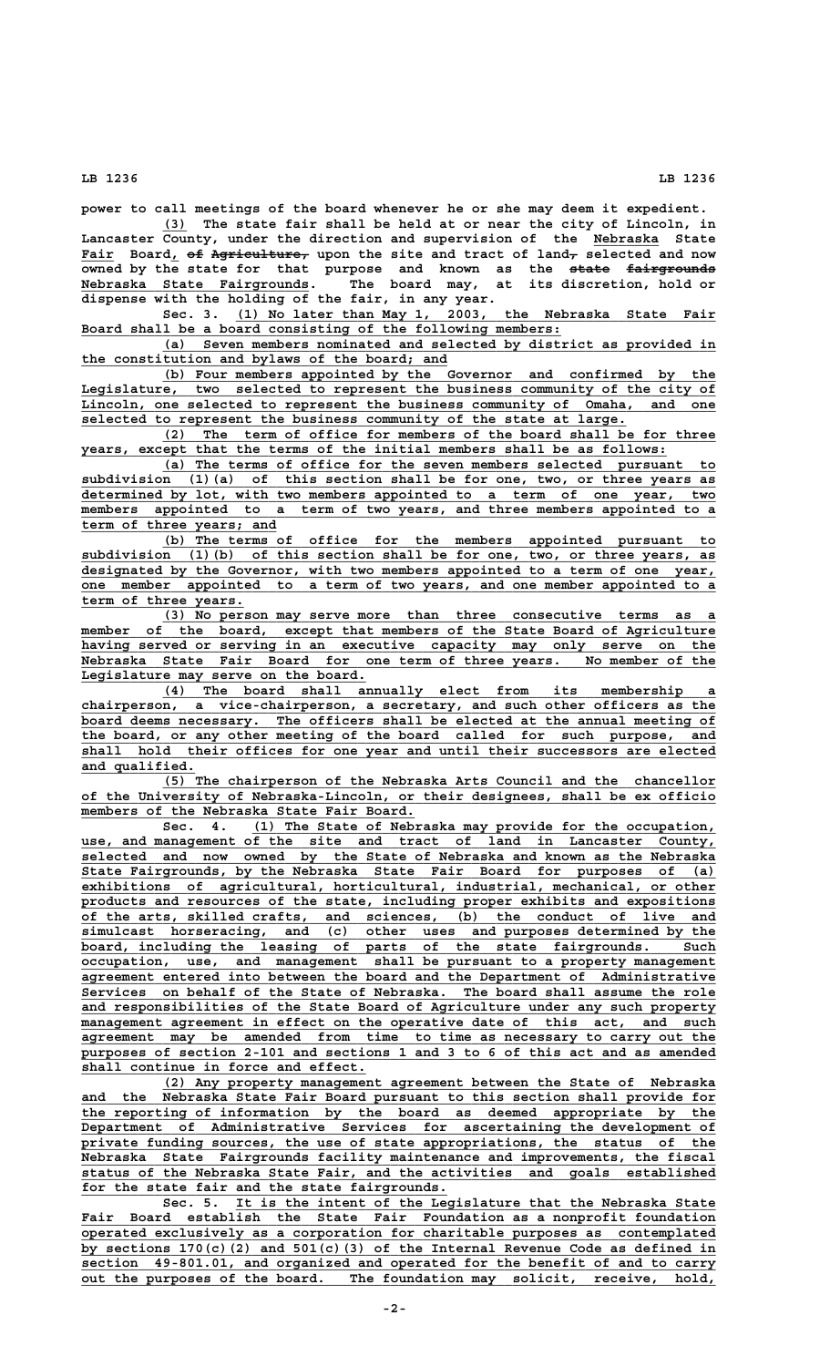**power to call meetings of the board whenever he or she may deem it expedient.**

 **\_\_\_ (3) The state fair shall be held at or near the city of Lincoln, in** Lancaster County, under the direction and supervision of the Nebraska State Fair Board, of Agriculture, upon the site and tract of land<sub>7</sub> selected and now **owned by the state for that purpose and known as the state fairgrounds ————— ——————————— \_\_\_\_\_\_\_\_\_\_\_\_\_\_\_\_\_\_\_\_\_\_\_\_\_\_\_\_ Nebraska State Fairgrounds. The board may, at its discretion, hold or dispense with the holding of the fair, in any year.**

Sec. 3. (1) No later than May 1, 2003, the Nebraska State Fair Board shall be a board consisting of the following members:

 **\_\_\_\_\_\_\_\_\_\_\_\_\_\_\_\_\_\_\_\_\_\_\_\_\_\_\_\_\_\_\_\_\_\_\_\_\_\_\_\_\_\_\_\_\_\_\_\_\_\_\_\_\_\_\_\_\_\_\_\_\_\_\_\_\_\_\_\_ (a) Seven members nominated and selected by district as provided in \_\_\_\_\_\_\_\_\_\_\_\_\_\_\_\_\_\_\_\_\_\_\_\_\_\_\_\_\_\_\_\_\_\_\_\_\_\_\_\_\_\_\_\_\_ the constitution and bylaws of the board; and**

 **\_\_\_\_\_\_\_\_\_\_\_\_\_\_\_\_\_\_\_\_\_\_\_\_\_\_\_\_\_\_\_\_\_\_\_\_\_\_\_\_\_\_\_\_\_\_\_\_\_\_\_\_\_\_\_\_\_\_\_\_\_\_\_\_\_\_\_\_ (b) Four members appointed by the Governor and confirmed by the \_\_\_\_\_\_\_\_\_\_\_\_\_\_\_\_\_\_\_\_\_\_\_\_\_\_\_\_\_\_\_\_\_\_\_\_\_\_\_\_\_\_\_\_\_\_\_\_\_\_\_\_\_\_\_\_\_\_\_\_\_\_\_\_\_\_\_\_\_\_\_\_\_\_\_\_\_\_ Legislature, two selected to represent the business community of the city of \_\_\_\_\_\_\_\_\_\_\_\_\_\_\_\_\_\_\_\_\_\_\_\_\_\_\_\_\_\_\_\_\_\_\_\_\_\_\_\_\_\_\_\_\_\_\_\_\_\_\_\_\_\_\_\_\_\_\_\_\_\_\_\_\_\_\_\_\_\_\_\_\_\_\_\_\_\_ Lincoln, one selected to represent the business community of Omaha, and one \_\_\_\_\_\_\_\_\_\_\_\_\_\_\_\_\_\_\_\_\_\_\_\_\_\_\_\_\_\_\_\_\_\_\_\_\_\_\_\_\_\_\_\_\_\_\_\_\_\_\_\_\_\_\_\_\_\_\_\_\_\_\_\_\_\_\_ selected to represent the business community of the state at large.**

 **\_\_\_\_\_\_\_\_\_\_\_\_\_\_\_\_\_\_\_\_\_\_\_\_\_\_\_\_\_\_\_\_\_\_\_\_\_\_\_\_\_\_\_\_\_\_\_\_\_\_\_\_\_\_\_\_\_\_\_\_\_\_\_\_\_\_\_\_ (2) The term of office for members of the board shall be for three \_\_\_\_\_\_\_\_\_\_\_\_\_\_\_\_\_\_\_\_\_\_\_\_\_\_\_\_\_\_\_\_\_\_\_\_\_\_\_\_\_\_\_\_\_\_\_\_\_\_\_\_\_\_\_\_\_\_\_\_\_\_\_\_\_\_\_\_\_\_\_\_ years, except that the terms of the initial members shall be as follows:**

 **\_\_\_\_\_\_\_\_\_\_\_\_\_\_\_\_\_\_\_\_\_\_\_\_\_\_\_\_\_\_\_\_\_\_\_\_\_\_\_\_\_\_\_\_\_\_\_\_\_\_\_\_\_\_\_\_\_\_\_\_\_\_\_\_\_\_\_\_ (a) The terms of office for the seven members selected pursuant to \_\_\_\_\_\_\_\_\_\_\_\_\_\_\_\_\_\_\_\_\_\_\_\_\_\_\_\_\_\_\_\_\_\_\_\_\_\_\_\_\_\_\_\_\_\_\_\_\_\_\_\_\_\_\_\_\_\_\_\_\_\_\_\_\_\_\_\_\_\_\_\_\_\_\_\_\_\_ subdivision (1)(a) of this section shall be for one, two, or three years as \_\_\_\_\_\_\_\_\_\_\_\_\_\_\_\_\_\_\_\_\_\_\_\_\_\_\_\_\_\_\_\_\_\_\_\_\_\_\_\_\_\_\_\_\_\_\_\_\_\_\_\_\_\_\_\_\_\_\_\_\_\_\_\_\_\_\_\_\_\_\_\_\_\_\_\_\_\_ determined by lot, with two members appointed to a term of one year, two \_\_\_\_\_\_\_\_\_\_\_\_\_\_\_\_\_\_\_\_\_\_\_\_\_\_\_\_\_\_\_\_\_\_\_\_\_\_\_\_\_\_\_\_\_\_\_\_\_\_\_\_\_\_\_\_\_\_\_\_\_\_\_\_\_\_\_\_\_\_\_\_\_\_\_\_\_\_ members appointed to a term of two years, and three members appointed to a \_\_\_\_\_\_\_\_\_\_\_\_\_\_\_\_\_\_\_\_\_\_\_\_ term of three years; and**

 **\_\_\_\_\_\_\_\_\_\_\_\_\_\_\_\_\_\_\_\_\_\_\_\_\_\_\_\_\_\_\_\_\_\_\_\_\_\_\_\_\_\_\_\_\_\_\_\_\_\_\_\_\_\_\_\_\_\_\_\_\_\_\_\_\_\_\_\_ (b) The terms of office for the members appointed pursuant to \_\_\_\_\_\_\_\_\_\_\_\_\_\_\_\_\_\_\_\_\_\_\_\_\_\_\_\_\_\_\_\_\_\_\_\_\_\_\_\_\_\_\_\_\_\_\_\_\_\_\_\_\_\_\_\_\_\_\_\_\_\_\_\_\_\_\_\_\_\_\_\_\_\_\_\_\_\_ subdivision (1)(b) of this section shall be for one, two, or three years, as \_\_\_\_\_\_\_\_\_\_\_\_\_\_\_\_\_\_\_\_\_\_\_\_\_\_\_\_\_\_\_\_\_\_\_\_\_\_\_\_\_\_\_\_\_\_\_\_\_\_\_\_\_\_\_\_\_\_\_\_\_\_\_\_\_\_\_\_\_\_\_\_\_\_\_\_\_\_ designated by the Governor, with two members appointed to a term of one year, \_\_\_\_\_\_\_\_\_\_\_\_\_\_\_\_\_\_\_\_\_\_\_\_\_\_\_\_\_\_\_\_\_\_\_\_\_\_\_\_\_\_\_\_\_\_\_\_\_\_\_\_\_\_\_\_\_\_\_\_\_\_\_\_\_\_\_\_\_\_\_\_\_\_\_\_\_\_ one member appointed to a term of two years, and one member appointed to a \_\_\_\_\_\_\_\_\_\_\_\_\_\_\_\_\_\_\_\_ term of three years.**

 **\_\_\_\_\_\_\_\_\_\_\_\_\_\_\_\_\_\_\_\_\_\_\_\_\_\_\_\_\_\_\_\_\_\_\_\_\_\_\_\_\_\_\_\_\_\_\_\_\_\_\_\_\_\_\_\_\_\_\_\_\_\_\_\_\_\_\_\_ (3) No person may serve more than three consecutive terms as a \_\_\_\_\_\_\_\_\_\_\_\_\_\_\_\_\_\_\_\_\_\_\_\_\_\_\_\_\_\_\_\_\_\_\_\_\_\_\_\_\_\_\_\_\_\_\_\_\_\_\_\_\_\_\_\_\_\_\_\_\_\_\_\_\_\_\_\_\_\_\_\_\_\_\_\_\_\_ member of the board, except that members of the State Board of Agriculture \_\_\_\_\_\_\_\_\_\_\_\_\_\_\_\_\_\_\_\_\_\_\_\_\_\_\_\_\_\_\_\_\_\_\_\_\_\_\_\_\_\_\_\_\_\_\_\_\_\_\_\_\_\_\_\_\_\_\_\_\_\_\_\_\_\_\_\_\_\_\_\_\_\_\_\_\_\_ having served or serving in an executive capacity may only serve on the \_\_\_\_\_\_\_\_\_\_\_\_\_\_\_\_\_\_\_\_\_\_\_\_\_\_\_\_\_\_\_\_\_\_\_\_\_\_\_\_\_\_\_\_\_\_\_\_\_\_\_\_\_\_\_\_\_\_\_\_\_\_\_\_\_\_\_\_\_\_\_\_\_\_\_\_\_\_ Nebraska State Fair Board for one term of three years. No member of the \_\_\_\_\_\_\_\_\_\_\_\_\_\_\_\_\_\_\_\_\_\_\_\_\_\_\_\_\_\_\_\_\_\_\_ Legislature may serve on the board.**

 **\_\_\_\_\_\_\_\_\_\_\_\_\_\_\_\_\_\_\_\_\_\_\_\_\_\_\_\_\_\_\_\_\_\_\_\_\_\_\_\_\_\_\_\_\_\_\_\_\_\_\_\_\_\_\_\_\_\_\_\_\_\_\_\_\_\_\_\_ (4) The board shall annually elect from its membership a \_\_\_\_\_\_\_\_\_\_\_\_\_\_\_\_\_\_\_\_\_\_\_\_\_\_\_\_\_\_\_\_\_\_\_\_\_\_\_\_\_\_\_\_\_\_\_\_\_\_\_\_\_\_\_\_\_\_\_\_\_\_\_\_\_\_\_\_\_\_\_\_\_\_\_\_\_\_ chairperson, a vice-chairperson, a secretary, and such other officers as the \_\_\_\_\_\_\_\_\_\_\_\_\_\_\_\_\_\_\_\_\_\_\_\_\_\_\_\_\_\_\_\_\_\_\_\_\_\_\_\_\_\_\_\_\_\_\_\_\_\_\_\_\_\_\_\_\_\_\_\_\_\_\_\_\_\_\_\_\_\_\_\_\_\_\_\_\_\_ board deems necessary. The officers shall be elected at the annual meeting of \_\_\_\_\_\_\_\_\_\_\_\_\_\_\_\_\_\_\_\_\_\_\_\_\_\_\_\_\_\_\_\_\_\_\_\_\_\_\_\_\_\_\_\_\_\_\_\_\_\_\_\_\_\_\_\_\_\_\_\_\_\_\_\_\_\_\_\_\_\_\_\_\_\_\_\_\_\_ the board, or any other meeting of the board called for such purpose, and \_\_\_\_\_\_\_\_\_\_\_\_\_\_\_\_\_\_\_\_\_\_\_\_\_\_\_\_\_\_\_\_\_\_\_\_\_\_\_\_\_\_\_\_\_\_\_\_\_\_\_\_\_\_\_\_\_\_\_\_\_\_\_\_\_\_\_\_\_\_\_\_\_\_\_\_\_\_ shall hold their offices for one year and until their successors are elected** and qualified.

 **\_\_\_\_\_\_\_\_\_\_\_\_\_\_\_\_\_\_\_\_\_\_\_\_\_\_\_\_\_\_\_\_\_\_\_\_\_\_\_\_\_\_\_\_\_\_\_\_\_\_\_\_\_\_\_\_\_\_\_\_\_\_\_\_\_\_\_\_ (5) The chairperson of the Nebraska Arts Council and the chancellor \_\_\_\_\_\_\_\_\_\_\_\_\_\_\_\_\_\_\_\_\_\_\_\_\_\_\_\_\_\_\_\_\_\_\_\_\_\_\_\_\_\_\_\_\_\_\_\_\_\_\_\_\_\_\_\_\_\_\_\_\_\_\_\_\_\_\_\_\_\_\_\_\_\_\_\_\_\_ of the University of Nebraska-Lincoln, or their designees, shall be ex officio**  $m$ embers of the Nebraska State Fair Board.

Sec. 4. (1) The State of Nebraska may provide for the occupation, use, and management of the site and tract of land in Lancaster County,  **\_\_\_\_\_\_\_\_\_\_\_\_\_\_\_\_\_\_\_\_\_\_\_\_\_\_\_\_\_\_\_\_\_\_\_\_\_\_\_\_\_\_\_\_\_\_\_\_\_\_\_\_\_\_\_\_\_\_\_\_\_\_\_\_\_\_\_\_\_\_\_\_\_\_\_\_\_\_ selected and now owned by the State of Nebraska and known as the Nebraska \_\_\_\_\_\_\_\_\_\_\_\_\_\_\_\_\_\_\_\_\_\_\_\_\_\_\_\_\_\_\_\_\_\_\_\_\_\_\_\_\_\_\_\_\_\_\_\_\_\_\_\_\_\_\_\_\_\_\_\_\_\_\_\_\_\_\_\_\_\_\_\_\_\_\_\_\_\_ State Fairgrounds, by the Nebraska State Fair Board for purposes of (a) \_\_\_\_\_\_\_\_\_\_\_\_\_\_\_\_\_\_\_\_\_\_\_\_\_\_\_\_\_\_\_\_\_\_\_\_\_\_\_\_\_\_\_\_\_\_\_\_\_\_\_\_\_\_\_\_\_\_\_\_\_\_\_\_\_\_\_\_\_\_\_\_\_\_\_\_\_\_ exhibitions of agricultural, horticultural, industrial, mechanical, or other \_\_\_\_\_\_\_\_\_\_\_\_\_\_\_\_\_\_\_\_\_\_\_\_\_\_\_\_\_\_\_\_\_\_\_\_\_\_\_\_\_\_\_\_\_\_\_\_\_\_\_\_\_\_\_\_\_\_\_\_\_\_\_\_\_\_\_\_\_\_\_\_\_\_\_\_\_\_ products and resources of the state, including proper exhibits and expositions \_\_\_\_\_\_\_\_\_\_\_\_\_\_\_\_\_\_\_\_\_\_\_\_\_\_\_\_\_\_\_\_\_\_\_\_\_\_\_\_\_\_\_\_\_\_\_\_\_\_\_\_\_\_\_\_\_\_\_\_\_\_\_\_\_\_\_\_\_\_\_\_\_\_\_\_\_\_ of the arts, skilled crafts, and sciences, (b) the conduct of live and \_\_\_\_\_\_\_\_\_\_\_\_\_\_\_\_\_\_\_\_\_\_\_\_\_\_\_\_\_\_\_\_\_\_\_\_\_\_\_\_\_\_\_\_\_\_\_\_\_\_\_\_\_\_\_\_\_\_\_\_\_\_\_\_\_\_\_\_\_\_\_\_\_\_\_\_\_\_ simulcast horseracing, and (c) other uses and purposes determined by the \_\_\_\_\_\_\_\_\_\_\_\_\_\_\_\_\_\_\_\_\_\_\_\_\_\_\_\_\_\_\_\_\_\_\_\_\_\_\_\_\_\_\_\_\_\_\_\_\_\_\_\_\_\_\_\_\_\_\_\_\_\_\_\_\_\_\_\_\_\_\_\_\_\_\_\_\_\_ board, including the leasing of parts of the state fairgrounds. Such \_\_\_\_\_\_\_\_\_\_\_\_\_\_\_\_\_\_\_\_\_\_\_\_\_\_\_\_\_\_\_\_\_\_\_\_\_\_\_\_\_\_\_\_\_\_\_\_\_\_\_\_\_\_\_\_\_\_\_\_\_\_\_\_\_\_\_\_\_\_\_\_\_\_\_\_\_\_ occupation, use, and management shall be pursuant to a property management \_\_\_\_\_\_\_\_\_\_\_\_\_\_\_\_\_\_\_\_\_\_\_\_\_\_\_\_\_\_\_\_\_\_\_\_\_\_\_\_\_\_\_\_\_\_\_\_\_\_\_\_\_\_\_\_\_\_\_\_\_\_\_\_\_\_\_\_\_\_\_\_\_\_\_\_\_\_ agreement entered into between the board and the Department of Administrative \_\_\_\_\_\_\_\_\_\_\_\_\_\_\_\_\_\_\_\_\_\_\_\_\_\_\_\_\_\_\_\_\_\_\_\_\_\_\_\_\_\_\_\_\_\_\_\_\_\_\_\_\_\_\_\_\_\_\_\_\_\_\_\_\_\_\_\_\_\_\_\_\_\_\_\_\_\_ Services on behalf of the State of Nebraska. The board shall assume the role \_\_\_\_\_\_\_\_\_\_\_\_\_\_\_\_\_\_\_\_\_\_\_\_\_\_\_\_\_\_\_\_\_\_\_\_\_\_\_\_\_\_\_\_\_\_\_\_\_\_\_\_\_\_\_\_\_\_\_\_\_\_\_\_\_\_\_\_\_\_\_\_\_\_\_\_\_\_ and responsibilities of the State Board of Agriculture under any such property**  $\frac{m}{m}$  anagement agreement in effect on the operative date of this act, and such  **\_\_\_\_\_\_\_\_\_\_\_\_\_\_\_\_\_\_\_\_\_\_\_\_\_\_\_\_\_\_\_\_\_\_\_\_\_\_\_\_\_\_\_\_\_\_\_\_\_\_\_\_\_\_\_\_\_\_\_\_\_\_\_\_\_\_\_\_\_\_\_\_\_\_\_\_\_\_ agreement may be amended from time to time as necessary to carry out the \_\_\_\_\_\_\_\_\_\_\_\_\_\_\_\_\_\_\_\_\_\_\_\_\_\_\_\_\_\_\_\_\_\_\_\_\_\_\_\_\_\_\_\_\_\_\_\_\_\_\_\_\_\_\_\_\_\_\_\_\_\_\_\_\_\_\_\_\_\_\_\_\_\_\_\_\_\_ purposes of section 2-101 and sections 1 and 3 to 6 of this act and as amended \_\_\_\_\_\_\_\_\_\_\_\_\_\_\_\_\_\_\_\_\_\_\_\_\_\_\_\_\_\_\_\_\_\_\_ shall continue in force and effect.**

 **\_\_\_\_\_\_\_\_\_\_\_\_\_\_\_\_\_\_\_\_\_\_\_\_\_\_\_\_\_\_\_\_\_\_\_\_\_\_\_\_\_\_\_\_\_\_\_\_\_\_\_\_\_\_\_\_\_\_\_\_\_\_\_\_\_\_\_\_ (2) Any property management agreement between the State of Nebraska** and the Nebraska State Fair Board pursuant to this section shall provide for  **\_\_\_\_\_\_\_\_\_\_\_\_\_\_\_\_\_\_\_\_\_\_\_\_\_\_\_\_\_\_\_\_\_\_\_\_\_\_\_\_\_\_\_\_\_\_\_\_\_\_\_\_\_\_\_\_\_\_\_\_\_\_\_\_\_\_\_\_\_\_\_\_\_\_\_\_\_\_ the reporting of information by the board as deemed appropriate by the \_\_\_\_\_\_\_\_\_\_\_\_\_\_\_\_\_\_\_\_\_\_\_\_\_\_\_\_\_\_\_\_\_\_\_\_\_\_\_\_\_\_\_\_\_\_\_\_\_\_\_\_\_\_\_\_\_\_\_\_\_\_\_\_\_\_\_\_\_\_\_\_\_\_\_\_\_\_ Department of Administrative Services for ascertaining the development of \_\_\_\_\_\_\_\_\_\_\_\_\_\_\_\_\_\_\_\_\_\_\_\_\_\_\_\_\_\_\_\_\_\_\_\_\_\_\_\_\_\_\_\_\_\_\_\_\_\_\_\_\_\_\_\_\_\_\_\_\_\_\_\_\_\_\_\_\_\_\_\_\_\_\_\_\_\_ private funding sources, the use of state appropriations, the status of the \_\_\_\_\_\_\_\_\_\_\_\_\_\_\_\_\_\_\_\_\_\_\_\_\_\_\_\_\_\_\_\_\_\_\_\_\_\_\_\_\_\_\_\_\_\_\_\_\_\_\_\_\_\_\_\_\_\_\_\_\_\_\_\_\_\_\_\_\_\_\_\_\_\_\_\_\_\_ Nebraska State Fairgrounds facility maintenance and improvements, the fiscal \_\_\_\_\_\_\_\_\_\_\_\_\_\_\_\_\_\_\_\_\_\_\_\_\_\_\_\_\_\_\_\_\_\_\_\_\_\_\_\_\_\_\_\_\_\_\_\_\_\_\_\_\_\_\_\_\_\_\_\_\_\_\_\_\_\_\_\_\_\_\_\_\_\_\_\_\_\_ status of the Nebraska State Fair, and the activities and goals established** for the state fair and the state fairgrounds.

Sec. 5. It is the intent of the Legislature that the Nebraska State Fair Board establish the State Fair Foundation as a nonprofit foundation  **\_\_\_\_\_\_\_\_\_\_\_\_\_\_\_\_\_\_\_\_\_\_\_\_\_\_\_\_\_\_\_\_\_\_\_\_\_\_\_\_\_\_\_\_\_\_\_\_\_\_\_\_\_\_\_\_\_\_\_\_\_\_\_\_\_\_\_\_\_\_\_\_\_\_\_\_\_\_ operated exclusively as a corporation for charitable purposes as contemplated \_\_\_\_\_\_\_\_\_\_\_\_\_\_\_\_\_\_\_\_\_\_\_\_\_\_\_\_\_\_\_\_\_\_\_\_\_\_\_\_\_\_\_\_\_\_\_\_\_\_\_\_\_\_\_\_\_\_\_\_\_\_\_\_\_\_\_\_\_\_\_\_\_\_\_\_\_\_ by sections 170(c)(2) and 501(c)(3) of the Internal Revenue Code as defined in**  $section$  49-801.01, and organized and operated for the benefit of and to carry  **\_\_\_\_\_\_\_\_\_\_\_\_\_\_\_\_\_\_\_\_\_\_\_\_\_\_\_\_\_\_\_\_\_\_\_\_\_\_\_\_\_\_\_\_\_\_\_\_\_\_\_\_\_\_\_\_\_\_\_\_\_\_\_\_\_\_\_\_\_\_\_\_\_\_\_\_\_\_ out the purposes of the board. The foundation may solicit, receive, hold,**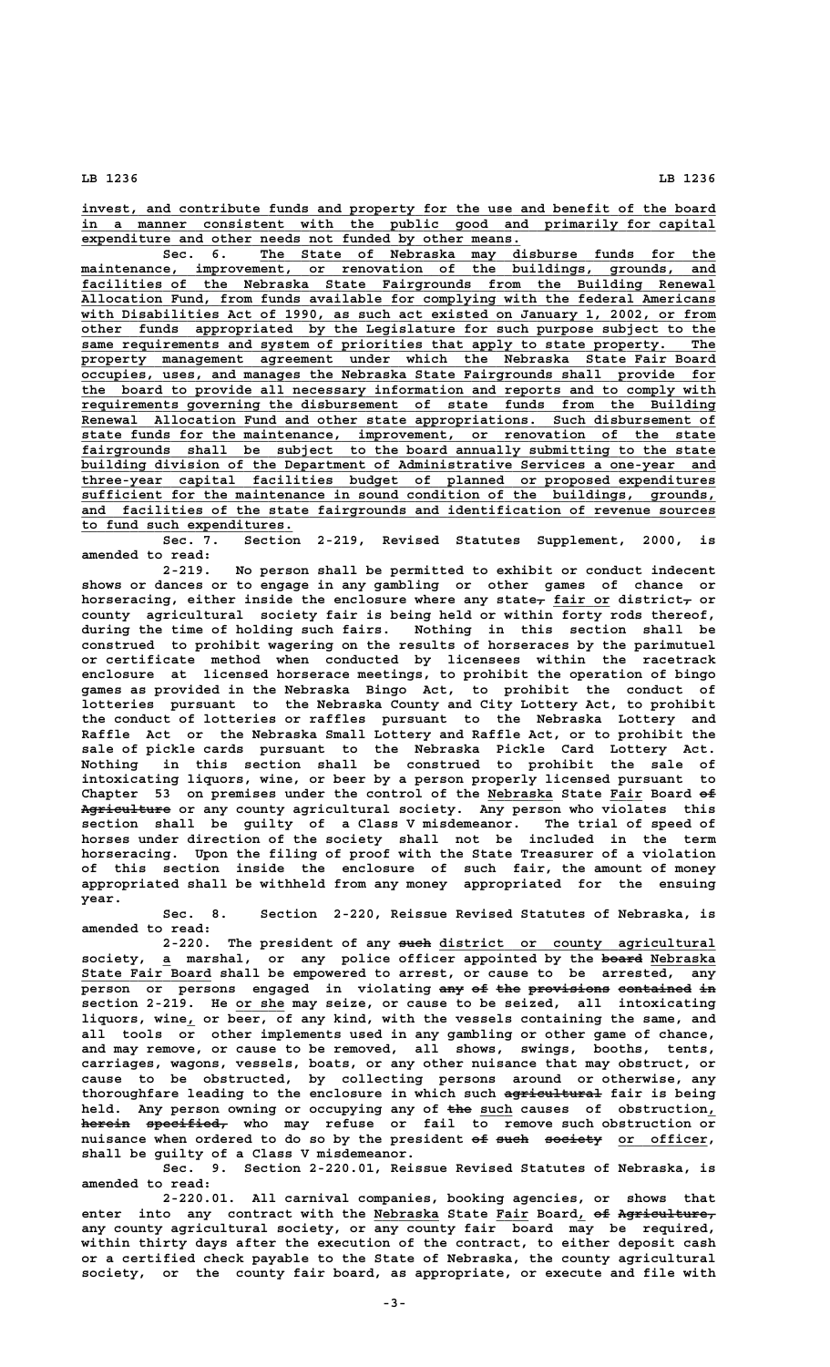**\_\_\_\_\_\_\_\_\_\_\_\_\_\_\_\_\_\_\_\_\_\_\_\_\_\_\_\_\_\_\_\_\_\_\_\_\_\_\_\_\_\_\_\_\_\_\_\_\_\_\_\_\_\_\_\_\_\_\_\_\_\_\_\_\_\_\_\_\_\_\_\_\_\_\_\_\_\_ invest, and contribute funds and property for the use and benefit of the board \_\_\_\_\_\_\_\_\_\_\_\_\_\_\_\_\_\_\_\_\_\_\_\_\_\_\_\_\_\_\_\_\_\_\_\_\_\_\_\_\_\_\_\_\_\_\_\_\_\_\_\_\_\_\_\_\_\_\_\_\_\_\_\_\_\_\_\_\_\_\_\_\_\_\_\_\_\_ in a manner consistent with the public good and primarily for capital** expenditure and other needs not funded by other means.

 **\_\_\_\_\_\_\_\_\_\_\_\_\_\_\_\_\_\_\_\_\_\_\_\_\_\_\_\_\_\_\_\_\_\_\_\_\_\_\_\_\_\_\_\_\_\_\_\_\_\_\_\_\_\_\_\_ Sec. 6. The State of Nebraska may disburse funds for the \_\_\_\_\_\_\_\_\_\_\_\_\_\_\_\_\_\_\_\_\_\_\_\_\_\_\_\_\_\_\_\_\_\_\_\_\_\_\_\_\_\_\_\_\_\_\_\_\_\_\_\_\_\_\_\_\_\_\_\_\_\_\_\_\_\_\_\_\_\_\_\_\_\_\_\_\_\_ maintenance, improvement, or renovation of the buildings, grounds, and \_\_\_\_\_\_\_\_\_\_\_\_\_\_\_\_\_\_\_\_\_\_\_\_\_\_\_\_\_\_\_\_\_\_\_\_\_\_\_\_\_\_\_\_\_\_\_\_\_\_\_\_\_\_\_\_\_\_\_\_\_\_\_\_\_\_\_\_\_\_\_\_\_\_\_\_\_\_ facilities of the Nebraska State Fairgrounds from the Building Renewal \_\_\_\_\_\_\_\_\_\_\_\_\_\_\_\_\_\_\_\_\_\_\_\_\_\_\_\_\_\_\_\_\_\_\_\_\_\_\_\_\_\_\_\_\_\_\_\_\_\_\_\_\_\_\_\_\_\_\_\_\_\_\_\_\_\_\_\_\_\_\_\_\_\_\_\_\_\_ Allocation Fund, from funds available for complying with the federal Americans \_\_\_\_\_\_\_\_\_\_\_\_\_\_\_\_\_\_\_\_\_\_\_\_\_\_\_\_\_\_\_\_\_\_\_\_\_\_\_\_\_\_\_\_\_\_\_\_\_\_\_\_\_\_\_\_\_\_\_\_\_\_\_\_\_\_\_\_\_\_\_\_\_\_\_\_\_\_ with Disabilities Act of 1990, as such act existed on January 1, 2002, or from \_\_\_\_\_\_\_\_\_\_\_\_\_\_\_\_\_\_\_\_\_\_\_\_\_\_\_\_\_\_\_\_\_\_\_\_\_\_\_\_\_\_\_\_\_\_\_\_\_\_\_\_\_\_\_\_\_\_\_\_\_\_\_\_\_\_\_\_\_\_\_\_\_\_\_\_\_\_ other funds appropriated by the Legislature for such purpose subject to the \_\_\_\_\_\_\_\_\_\_\_\_\_\_\_\_\_\_\_\_\_\_\_\_\_\_\_\_\_\_\_\_\_\_\_\_\_\_\_\_\_\_\_\_\_\_\_\_\_\_\_\_\_\_\_\_\_\_\_\_\_\_\_\_\_\_\_\_\_\_\_\_\_\_\_\_\_\_ same requirements and system of priorities that apply to state property. The** property management agreement under which the Nebraska State Fair Board  **\_\_\_\_\_\_\_\_\_\_\_\_\_\_\_\_\_\_\_\_\_\_\_\_\_\_\_\_\_\_\_\_\_\_\_\_\_\_\_\_\_\_\_\_\_\_\_\_\_\_\_\_\_\_\_\_\_\_\_\_\_\_\_\_\_\_\_\_\_\_\_\_\_\_\_\_\_\_ occupies, uses, and manages the Nebraska State Fairgrounds shall provide for \_\_\_\_\_\_\_\_\_\_\_\_\_\_\_\_\_\_\_\_\_\_\_\_\_\_\_\_\_\_\_\_\_\_\_\_\_\_\_\_\_\_\_\_\_\_\_\_\_\_\_\_\_\_\_\_\_\_\_\_\_\_\_\_\_\_\_\_\_\_\_\_\_\_\_\_\_\_ the board to provide all necessary information and reports and to comply with \_\_\_\_\_\_\_\_\_\_\_\_\_\_\_\_\_\_\_\_\_\_\_\_\_\_\_\_\_\_\_\_\_\_\_\_\_\_\_\_\_\_\_\_\_\_\_\_\_\_\_\_\_\_\_\_\_\_\_\_\_\_\_\_\_\_\_\_\_\_\_\_\_\_\_\_\_\_ requirements governing the disbursement of state funds from the Building \_\_\_\_\_\_\_\_\_\_\_\_\_\_\_\_\_\_\_\_\_\_\_\_\_\_\_\_\_\_\_\_\_\_\_\_\_\_\_\_\_\_\_\_\_\_\_\_\_\_\_\_\_\_\_\_\_\_\_\_\_\_\_\_\_\_\_\_\_\_\_\_\_\_\_\_\_\_ Renewal Allocation Fund and other state appropriations. Such disbursement of \_\_\_\_\_\_\_\_\_\_\_\_\_\_\_\_\_\_\_\_\_\_\_\_\_\_\_\_\_\_\_\_\_\_\_\_\_\_\_\_\_\_\_\_\_\_\_\_\_\_\_\_\_\_\_\_\_\_\_\_\_\_\_\_\_\_\_\_\_\_\_\_\_\_\_\_\_\_ state funds for the maintenance, improvement, or renovation of the state \_\_\_\_\_\_\_\_\_\_\_\_\_\_\_\_\_\_\_\_\_\_\_\_\_\_\_\_\_\_\_\_\_\_\_\_\_\_\_\_\_\_\_\_\_\_\_\_\_\_\_\_\_\_\_\_\_\_\_\_\_\_\_\_\_\_\_\_\_\_\_\_\_\_\_\_\_\_ fairgrounds shall be subject to the board annually submitting to the state \_\_\_\_\_\_\_\_\_\_\_\_\_\_\_\_\_\_\_\_\_\_\_\_\_\_\_\_\_\_\_\_\_\_\_\_\_\_\_\_\_\_\_\_\_\_\_\_\_\_\_\_\_\_\_\_\_\_\_\_\_\_\_\_\_\_\_\_\_\_\_\_\_\_\_\_\_\_ building division of the Department of Administrative Services a one-year and \_\_\_\_\_\_\_\_\_\_\_\_\_\_\_\_\_\_\_\_\_\_\_\_\_\_\_\_\_\_\_\_\_\_\_\_\_\_\_\_\_\_\_\_\_\_\_\_\_\_\_\_\_\_\_\_\_\_\_\_\_\_\_\_\_\_\_\_\_\_\_\_\_\_\_\_\_\_ three-year capital facilities budget of planned or proposed expenditures \_\_\_\_\_\_\_\_\_\_\_\_\_\_\_\_\_\_\_\_\_\_\_\_\_\_\_\_\_\_\_\_\_\_\_\_\_\_\_\_\_\_\_\_\_\_\_\_\_\_\_\_\_\_\_\_\_\_\_\_\_\_\_\_\_\_\_\_\_\_\_\_\_\_\_\_\_\_ sufficient for the maintenance in sound condition of the buildings, grounds, \_\_\_\_\_\_\_\_\_\_\_\_\_\_\_\_\_\_\_\_\_\_\_\_\_\_\_\_\_\_\_\_\_\_\_\_\_\_\_\_\_\_\_\_\_\_\_\_\_\_\_\_\_\_\_\_\_\_\_\_\_\_\_\_\_\_\_\_\_\_\_\_\_\_\_\_\_\_ and facilities of the state fairgrounds and identification of revenue sources \_\_\_\_\_\_\_\_\_\_\_\_\_\_\_\_\_\_\_\_\_\_\_\_\_\_ to fund such expenditures.**

**Sec. 7. Section 2-219, Revised Statutes Supplement, 2000, is amended to read:**

**2-219. No person shall be permitted to exhibit or conduct indecent shows or dances or to engage in any gambling or other games of chance or** horseracing, either inside the enclosure where any state<sub>r</sub> fair or district<sub>r</sub> or **county agricultural society fair is being held or within forty rods thereof, during the time of holding such fairs. Nothing in this section shall be construed to prohibit wagering on the results of horseraces by the parimutuel or certificate method when conducted by licensees within the racetrack enclosure at licensed horserace meetings, to prohibit the operation of bingo games as provided in the Nebraska Bingo Act, to prohibit the conduct of lotteries pursuant to the Nebraska County and City Lottery Act, to prohibit the conduct of lotteries or raffles pursuant to the Nebraska Lottery and Raffle Act or the Nebraska Small Lottery and Raffle Act, or to prohibit the sale of pickle cards pursuant to the Nebraska Pickle Card Lottery Act. Nothing in this section shall be construed to prohibit the sale of intoxicating liquors, wine, or beer by a person properly licensed pursuant to** Chapter 53 on premises under the control of the Nebraska State Fair Board  $\epsilon$ Agriculture or any county agricultural society. Any person who violates this **section shall be guilty of a Class V misdemeanor. The trial of speed of horses under direction of the society shall not be included in the term horseracing. Upon the filing of proof with the State Treasurer of a violation of this section inside the enclosure of such fair, the amount of money appropriated shall be withheld from any money appropriated for the ensuing year.**

**Sec. 8. Section 2-220, Reissue Revised Statutes of Nebraska, is amended to read:**

 **———— \_\_\_\_\_\_\_\_\_\_\_\_\_\_\_\_\_\_\_\_\_\_\_\_\_\_\_\_\_\_\_\_\_\_ 2-220. The president of any such district or county agricultural \_ ————— \_\_\_\_\_\_\_\_ society, a marshal, or any police officer appointed by the board Nebraska \_\_\_\_\_\_\_\_\_\_\_\_\_\_\_\_ State Fair Board shall be empowered to arrest, or cause to be arrested, any person or persons engaged in violating any of the provisions contained in \_\_\_\_\_\_ section 2-219. He or she may seize, or cause to be seized, all intoxicating \_ liquors, wine, or beer, of any kind, with the vessels containing the same, and all tools or other implements used in any gambling or other game of chance, and may remove, or cause to be removed, all shows, swings, booths, tents, carriages, wagons, vessels, boats, or any other nuisance that may obstruct, or cause to be obstructed, by collecting persons around or otherwise, any** thoroughfare leading to the enclosure in which such agricultural fair is being held. Any person owning or occupying any of the such causes of obstruction<sub>1</sub>  $here$ in specified, who may refuse or fail to remove such obstruction or nuisance when ordered to do so by the president of such society or officer, **shall be guilty of a Class V misdemeanor.**

> **Sec. 9. Section 2-220.01, Reissue Revised Statutes of Nebraska, is amended to read:**

> **2-220.01. All carnival companies, booking agencies, or shows that** enter into any contract with the Nebraska State Fair Board, of Agriculture, **any county agricultural society, or any county fair board may be required, within thirty days after the execution of the contract, to either deposit cash or a certified check payable to the State of Nebraska, the county agricultural society, or the county fair board, as appropriate, or execute and file with**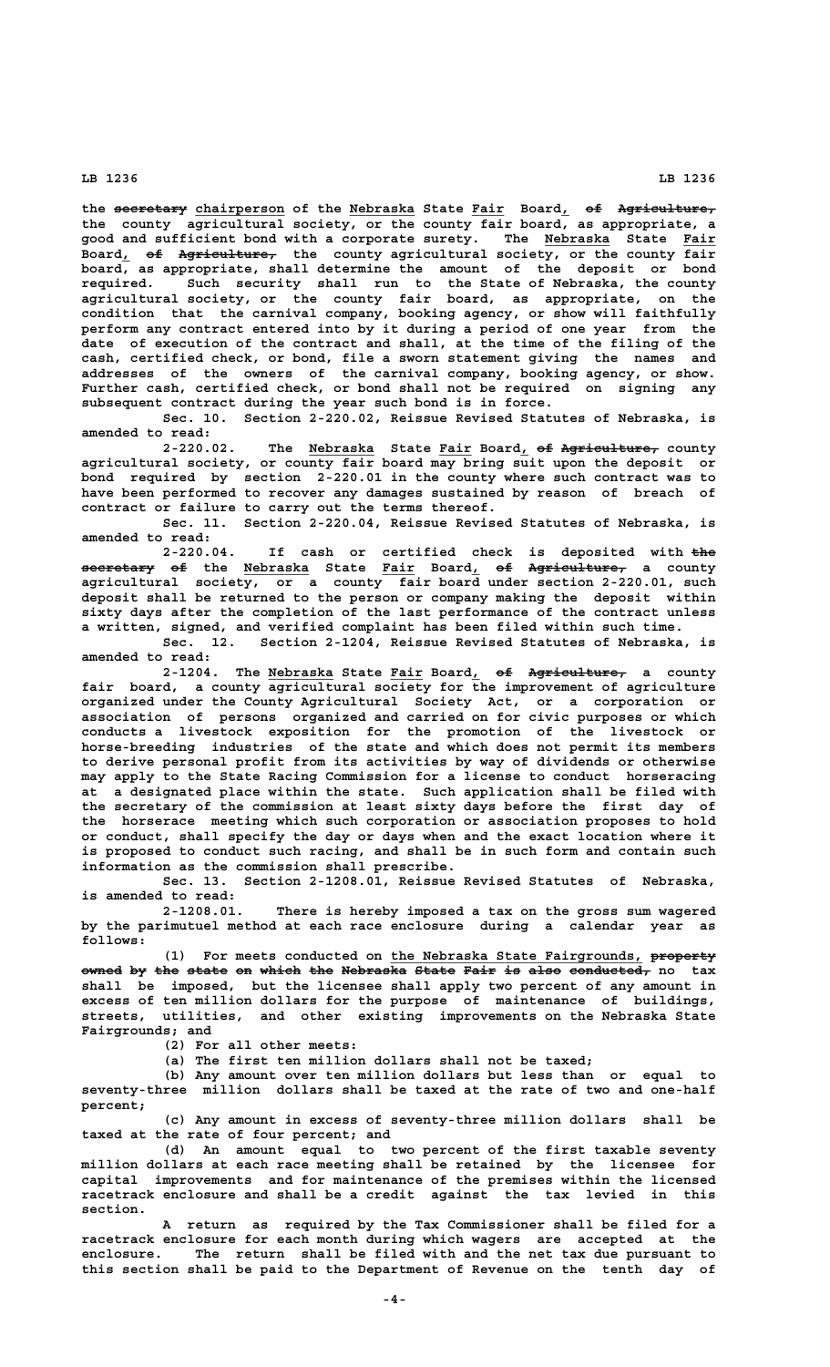the seeretary chairperson of the Nebraska State Fair Board, of Agriculture, **the county agricultural society, or the county fair board, as appropriate, a** good and sufficient bond with a corporate surety. The **Nebraska** State Fair Board, of Agriculture, the county agricultural society, or the county fair **board, as appropriate, shall determine the amount of the deposit or bond required. Such security shall run to the State of Nebraska, the county agricultural society, or the county fair board, as appropriate, on the condition that the carnival company, booking agency, or show will faithfully perform any contract entered into by it during a period of one year from the date of execution of the contract and shall, at the time of the filing of the cash, certified check, or bond, file a sworn statement giving the names and addresses of the owners of the carnival company, booking agency, or show. Further cash, certified check, or bond shall not be required on signing any subsequent contract during the year such bond is in force.**

**Sec. 10. Section 2-220.02, Reissue Revised Statutes of Nebraska, is amended to read:**

2-220.02. The Nebraska State<sup>Fair</sup> Board, <del>of Agriculture,</del> county **agricultural society, or county fair board may bring suit upon the deposit or bond required by section 2-220.01 in the county where such contract was to have been performed to recover any damages sustained by reason of breach of contract or failure to carry out the terms thereof.**

**Sec. 11. Section 2-220.04, Reissue Revised Statutes of Nebraska, is amended to read:**

2-220.04. If cash or certified check is deposited with the **secretary of the Nebraska State Fair Board, of Agriculture, a county ————————— —— \_\_\_\_\_\_\_\_ \_\_\_\_ \_ —— ——————————— agricultural society, or a county fair board under section 2-220.01, such deposit shall be returned to the person or company making the deposit within sixty days after the completion of the last performance of the contract unless a written, signed, and verified complaint has been filed within such time.**

**Sec. 12. Section 2-1204, Reissue Revised Statutes of Nebraska, is amended to read:**

2-1204. The Nebraska State Fair Board, of Agriculture, a county **fair board, a county agricultural society for the improvement of agriculture organized under the County Agricultural Society Act, or a corporation or association of persons organized and carried on for civic purposes or which conducts a livestock exposition for the promotion of the livestock or horse-breeding industries of the state and which does not permit its members to derive personal profit from its activities by way of dividends or otherwise may apply to the State Racing Commission for a license to conduct horseracing at a designated place within the state. Such application shall be filed with the secretary of the commission at least sixty days before the first day of the horserace meeting which such corporation or association proposes to hold or conduct, shall specify the day or days when and the exact location where it is proposed to conduct such racing, and shall be in such form and contain such information as the commission shall prescribe.**

**Sec. 13. Section 2-1208.01, Reissue Revised Statutes of Nebraska, is amended to read:**

**2-1208.01. There is hereby imposed a tax on the gross sum wagered by the parimutuel method at each race enclosure during a calendar year as follows:**

 **\_\_\_\_\_\_\_\_\_\_\_\_\_\_\_\_\_\_\_\_\_\_\_\_\_\_\_\_\_\_\_ ———————— (1) For meets conducted on the Nebraska State Fairgrounds, property**  $\bullet$  wned by the state on which the Nebraska State Fair is also conducted, no tax **shall be imposed, but the licensee shall apply two percent of any amount in excess of ten million dollars for the purpose of maintenance of buildings, streets, utilities, and other existing improvements on the Nebraska State Fairgrounds; and**

**(2) For all other meets:**

**(a) The first ten million dollars shall not be taxed;**

**(b) Any amount over ten million dollars but less than or equal to seventy-three million dollars shall be taxed at the rate of two and one-half percent;**

**(c) Any amount in excess of seventy-three million dollars shall be taxed at the rate of four percent; and**

**(d) An amount equal to two percent of the first taxable seventy million dollars at each race meeting shall be retained by the licensee for capital improvements and for maintenance of the premises within the licensed racetrack enclosure and shall be a credit against the tax levied in this section.**

**A return as required by the Tax Commissioner shall be filed for a racetrack enclosure for each month during which wagers are accepted at the enclosure. The return shall be filed with and the net tax due pursuant to this section shall be paid to the Department of Revenue on the tenth day of**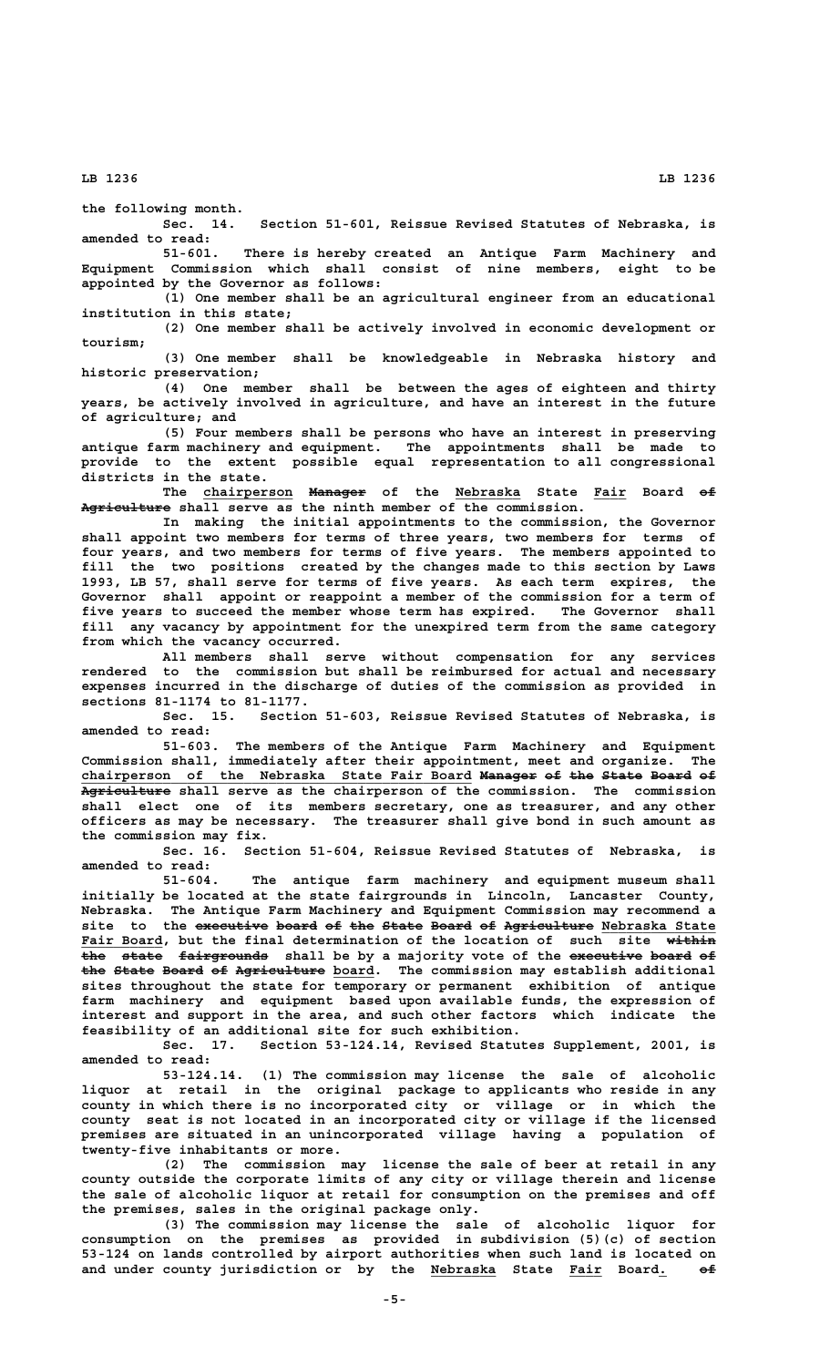**the following month.**

**Sec. 14. Section 51-601, Reissue Revised Statutes of Nebraska, is amended to read:**

**51-601. There is hereby created an Antique Farm Machinery and Equipment Commission which shall consist of nine members, eight to be appointed by the Governor as follows:**

**(1) One member shall be an agricultural engineer from an educational institution in this state;**

**(2) One member shall be actively involved in economic development or tourism;**

**(3) One member shall be knowledgeable in Nebraska history and historic preservation;**

**(4) One member shall be between the ages of eighteen and thirty years, be actively involved in agriculture, and have an interest in the future of agriculture; and**

**(5) Four members shall be persons who have an interest in preserving antique farm machinery and equipment. The appointments shall be made to provide to the extent possible equal representation to all congressional districts in the state.**

The chairperson Manager of the Nebraska State Fair Board of Agriculture shall serve as the ninth member of the commission.

**In making the initial appointments to the commission, the Governor shall appoint two members for terms of three years, two members for terms of four years, and two members for terms of five years. The members appointed to fill the two positions created by the changes made to this section by Laws 1993, LB 57, shall serve for terms of five years. As each term expires, the Governor shall appoint or reappoint a member of the commission for a term of five years to succeed the member whose term has expired. The Governor shall fill any vacancy by appointment for the unexpired term from the same category from which the vacancy occurred.**

**All members shall serve without compensation for any services rendered to the commission but shall be reimbursed for actual and necessary expenses incurred in the discharge of duties of the commission as provided in sections 81-1174 to 81-1177.**

Section 51-603, Reissue Revised Statutes of Nebraska, is **amended to read:**

**51-603. The members of the Antique Farm Machinery and Equipment Commission shall, immediately after their appointment, meet and organize. The chairperson of the Nebraska State Fair Board Manager of the State Board of \_\_\_\_\_\_\_\_\_\_\_\_\_\_\_\_\_\_\_\_\_\_\_\_\_\_\_\_\_\_\_\_\_\_\_\_\_\_\_\_\_\_\_\_\_\_\_\_ ——————— —— ——— ————— ————— —— ——————————— Agriculture shall serve as the chairperson of the commission. The commission shall elect one of its members secretary, one as treasurer, and any other officers as may be necessary. The treasurer shall give bond in such amount as the commission may fix.**

**Sec. 16. Section 51-604, Reissue Revised Statutes of Nebraska, is amended to read:**

**51-604. The antique farm machinery and equipment museum shall initially be located at the state fairgrounds in Lincoln, Lancaster County, Nebraska. The Antique Farm Machinery and Equipment Commission may recommend a** site to the executive board of the State Board of Agriculture Nebraska State  **Fair Board, but the final determination of the location of such site within** the state fairgrounds shall be by a majority vote of the executive board of the State Board of Agriculture board. The commission may establish additional **sites throughout the state for temporary or permanent exhibition of antique farm machinery and equipment based upon available funds, the expression of interest and support in the area, and such other factors which indicate the feasibility of an additional site for such exhibition.**

Section 53-124.14, Revised Statutes Supplement, 2001, is **amended to read:**

**53-124.14. (1) The commission may license the sale of alcoholic liquor at retail in the original package to applicants who reside in any county in which there is no incorporated city or village or in which the county seat is not located in an incorporated city or village if the licensed premises are situated in an unincorporated village having a population of twenty-five inhabitants or more.**

**(2) The commission may license the sale of beer at retail in any county outside the corporate limits of any city or village therein and license the sale of alcoholic liquor at retail for consumption on the premises and off the premises, sales in the original package only.**

**(3) The commission may license the sale of alcoholic liquor for consumption on the premises as provided in subdivision (5)(c) of section 53-124 on lands controlled by airport authorities when such land is located on \_\_\_\_\_\_\_\_ \_\_\_\_ \_ —— and under county jurisdiction or by the Nebraska State Fair Board. of**